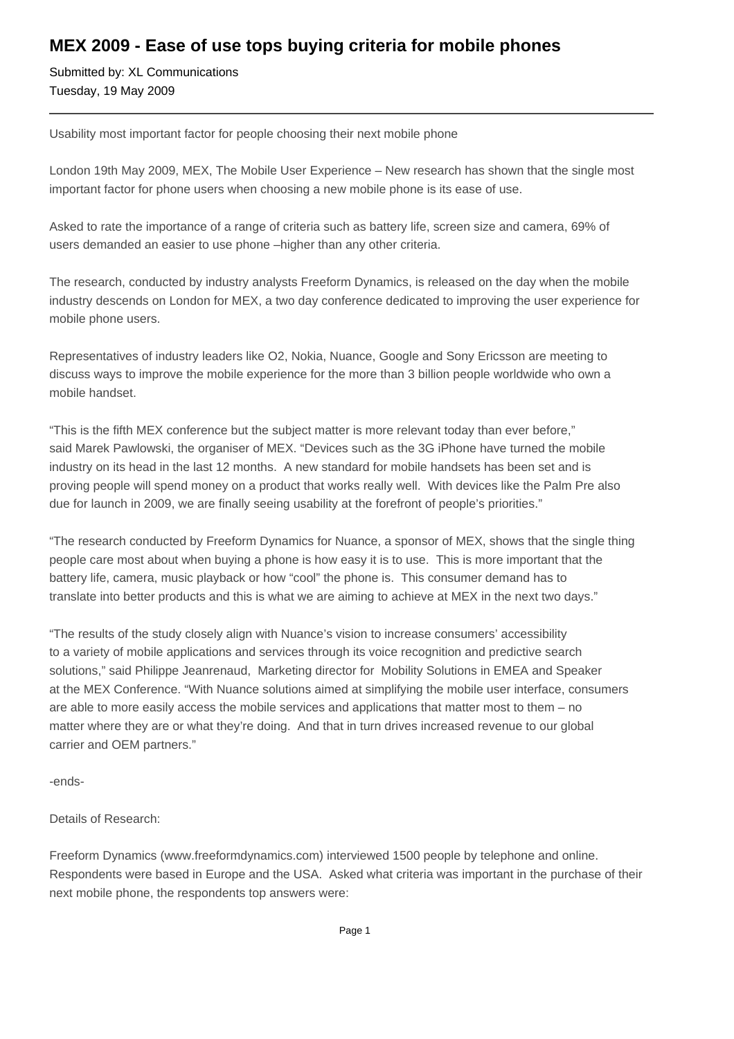## **MEX 2009 - Ease of use tops buying criteria for mobile phones**

Submitted by: XL Communications Tuesday, 19 May 2009

Usability most important factor for people choosing their next mobile phone

London 19th May 2009, MEX, The Mobile User Experience – New research has shown that the single most important factor for phone users when choosing a new mobile phone is its ease of use.

Asked to rate the importance of a range of criteria such as battery life, screen size and camera, 69% of users demanded an easier to use phone –higher than any other criteria.

The research, conducted by industry analysts Freeform Dynamics, is released on the day when the mobile industry descends on London for MEX, a two day conference dedicated to improving the user experience for mobile phone users.

Representatives of industry leaders like O2, Nokia, Nuance, Google and Sony Ericsson are meeting to discuss ways to improve the mobile experience for the more than 3 billion people worldwide who own a mobile handset.

"This is the fifth MEX conference but the subject matter is more relevant today than ever before," said Marek Pawlowski, the organiser of MEX. "Devices such as the 3G iPhone have turned the mobile industry on its head in the last 12 months. A new standard for mobile handsets has been set and is proving people will spend money on a product that works really well. With devices like the Palm Pre also due for launch in 2009, we are finally seeing usability at the forefront of people's priorities."

"The research conducted by Freeform Dynamics for Nuance, a sponsor of MEX, shows that the single thing people care most about when buying a phone is how easy it is to use. This is more important that the battery life, camera, music playback or how "cool" the phone is. This consumer demand has to translate into better products and this is what we are aiming to achieve at MEX in the next two days."

"The results of the study closely align with Nuance's vision to increase consumers' accessibility to a variety of mobile applications and services through its voice recognition and predictive search solutions," said Philippe Jeanrenaud, Marketing director for Mobility Solutions in EMEA and Speaker at the MEX Conference. "With Nuance solutions aimed at simplifying the mobile user interface, consumers are able to more easily access the mobile services and applications that matter most to them – no matter where they are or what they're doing. And that in turn drives increased revenue to our global carrier and OEM partners."

-ends-

Details of Research:

Freeform Dynamics (www.freeformdynamics.com) interviewed 1500 people by telephone and online. Respondents were based in Europe and the USA. Asked what criteria was important in the purchase of their next mobile phone, the respondents top answers were: